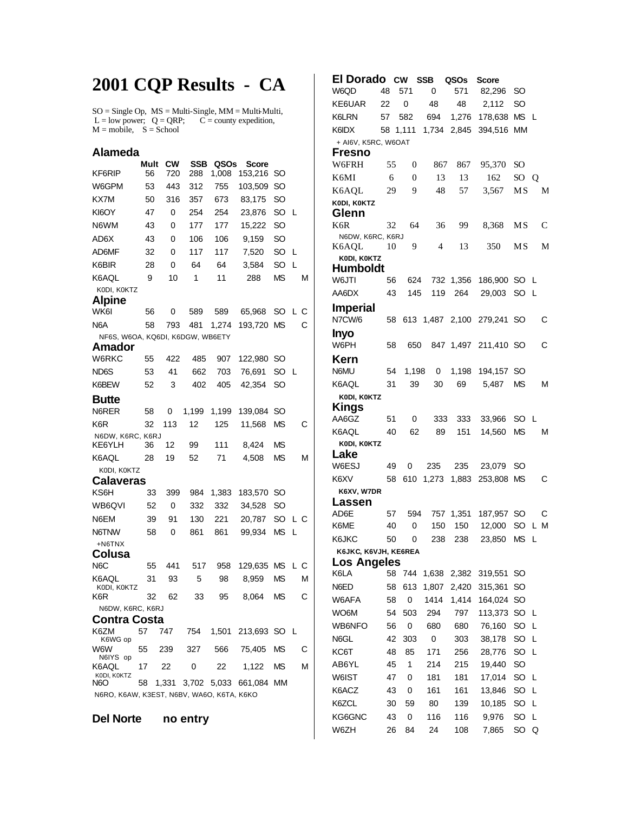## **2001 CQP Results - CA**

 $SO = Single Op$ ,  $MS = Multi-Single$ ,  $MM = Multi-Multi$ ,  $L = low power$ ;  $Q = QRP$ ;  $C = county$  expedition,  $M = \text{mobile}, S = \text{School}$ 

## **Alameda Mult CW SSB QSOs Score**<br>KF6RIP 56 720 288 1,008 153,216 153,216 SO W6GPM 53 443 312 755 103,509 SO KX7M 50 316 357 673 83,175 SO KI6OY 47 0 254 254 23,876 SO L N6WM 43 0 177 177 15,222 SO AD6X 43 0 106 106 9,159 SO AD6MF 32 0 117 117 7,520 SO L K6BIR 28 0 64 64 3,584 SO L K6AQL 9 10 1 11 288 MS M K0DI, K0KTZ **Alpine** WK6I 56 0 589 589 65,968 SO L C N6A 58 793 481 1,274 193,720 MS C NF6S, W6OA, KQ6DI, K6DGW, WB6ETY **Amador** W6RKC 55 422 485 907 122,980 SO ND6S 53 41 662 703 76,691 SO L K6BEW 52 3 402 405 42,354 SO **Butte** N6RER 58 0 1,199 1,199 139,084 SO K6R 32 113 12 125 11,568 MS C N6DW, K6RC, K6RJ<br>KE6YLH 36 KE6YLH 36 12 99 111 8,424 MS K6AQL 28 19 52 71 4,508 MS M K0DI, K0KTZ **Calaveras** KS6H 33 399 984 1,383 183,570 SO WB6QVI 52 0 332 332 34,528 SO N6EM 39 91 130 221 20,787 SO L C N6TNW 58 0 861 861 99,934 MS L +N6TNX **Colusa** N6C 55 441 517 958 129,635 MS L C K6AQL K0DI, K0KTZ 31 93 5 98 8,959 MS M K6R 32 62 33 95 8,064 MS C N6DW, K6RC, K6RJ **Contra Costa** K6ZM K6WG op 57 747 754 1,501 213,693 SO L W6W N6IYS op 55 239 327 566 75,405 MS C K6AQL KODI, KOKTZ<br>NGO 17 22 0 22 1,122 MS M 58 1,331 3,702 5,033 661,084 MM N6RO, K6AW, K3EST, N6BV, WA6O, K6TA, K6KO

**Del Norte no entry**

**El Dorado CW SSB QSOs Score** W6QD 48 571 0 571 82,296 SO KE6UAR 22 0 48 48 2,112 SO K6LRN 57 582 694 1,276 178,638 MS L K6IDX 58 1,111 1,734 2,845 394,516 MM + AI6V, K5RC, W6OAT **Fresno** W6FRH 55 0 867 867 95,370 SO K6MI 6 0 13 13 162 SO Q K6AQL 29 9 48 57 3,567 MS M **K0DI, K0KTZ Glenn** K6R 32 64 36 99 8,368 MS C N6DW, K6RC, K6RJ K6AQL 10 9 4 13 350 MS M  **K0DI, K0KTZ Humboldt** W6JTI 56 624 732 1,356 186,900 SO L AA6DX 43 145 119 264 29,003 SO L **Imperial** N7CW/6 58 613 1,487 2,100 279,241 SO C **Inyo** 58 650 847 1,497 211,410 SO C **Kern** N6MU 54 1,198 0 1,198 194,157 SO K6AQL 31 39 30 69 5,487 MS M  **K0DI, K0KTZ Kings** AA6GZ 51 0 333 333 33,966 SO L K6AQL 40 62 89 151 14,560 MS M  **K0DI, K0KTZ Lake** W6ESJ 49 0 235 235 23,079 SO K6XV 58 610 1,273 1,883 253,808 MS C  **K6XV, W7DR Lassen** AD6E 57 594 757 1,351 187,957 SO C K6ME 40 0 150 150 12,000 SO L M K6JKC 50 0 238 238 23,850 MS L **K6JKC, K6VJH, KE6REA Los Angeles** K6LA 58 744 1,638 2,382 319,551 SO N6ED 58 613 1,807 2,420 315,361 SO W6AFA 58 0 1414 1,414 164,024 SO WO6M 54 503 294 797 113,373 SO L WB6NFO 56 0 680 680 76,160 SO L N6GL 42 303 0 303 38,178 SO L KC6T 48 85 171 256 28,776 SO L AB6YL 45 1 214 215 19,440 SO W6IST 47 0 181 181 17,014 SO L K6ACZ 43 0 161 161 13,846 SO L K6ZCL 30 59 80 139 10,185 SO L KG6GNC 43 0 116 116 9,976 SO L W6ZH 26 84 24 108 7,865 SO Q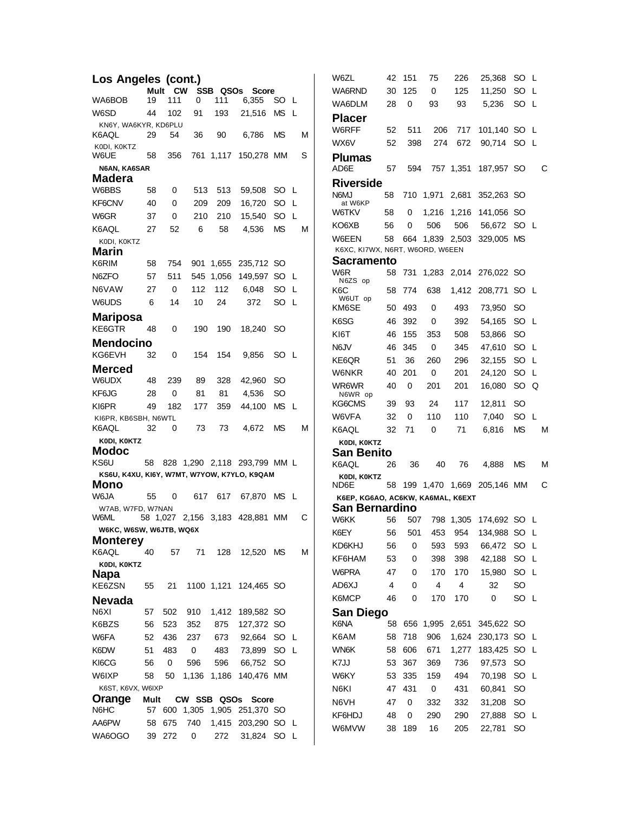| Los Angeles (cont.)                         |      |         |           |           |                                 |           |   | W6ZL                                                       | 42       | 151         | 75              | 226       | 25,368                        | SO L              |   |  |
|---------------------------------------------|------|---------|-----------|-----------|---------------------------------|-----------|---|------------------------------------------------------------|----------|-------------|-----------------|-----------|-------------------------------|-------------------|---|--|
|                                             |      | Mult CW |           | SSB QSOs  | <b>Score</b>                    |           |   | WA6RND                                                     | 30       | 125         | 0               | 125       | 11,250                        | SO L              |   |  |
| WA6BOB                                      | 19   | 111     | 0         | 111       | 6,355                           | SO L      |   | WA6DLM                                                     | 28       | 0           | 93              | 93        | 5,236                         | SO L              |   |  |
| W6SD                                        | 44   | 102     | 91        | 193       | 21,516                          | MS L      |   | <b>Placer</b>                                              |          |             |                 |           |                               |                   |   |  |
| KN6Y, WA6KYR, KD6PLU<br>K6AQL               | 29   | 54      | 36        | 90        | 6.786                           | <b>MS</b> | M | W6RFF                                                      | 52       | 511         | 206             | 717       | 101,140 SO L                  |                   |   |  |
| KODI, KOKTZ                                 |      |         |           |           |                                 |           |   | WX6V                                                       | 52       | 398         | 274             | 672       | 90,714 SO L                   |                   |   |  |
| W6UE                                        | 58   | 356     |           | 761 1,117 | 150,278 MM                      |           | S | <b>Plumas</b>                                              |          |             |                 |           |                               |                   |   |  |
| N6AN, KA6SAR                                |      |         |           |           |                                 |           |   | AD6E                                                       | 57       | 594         |                 | 757 1,351 | 187,957 SO                    |                   | C |  |
| Madera<br>W6BBS                             | 58   | 0       | 513       | 513       | 59,508                          | SO L      |   | <b>Riverside</b>                                           |          |             |                 |           |                               |                   |   |  |
| KF6CNV                                      | 40   | 0       | 209       | 209       | 16,720                          | SO L      |   | N6MJ<br>at W6KP                                            | 58       |             |                 |           | 710 1,971 2,681 352,263 SO    |                   |   |  |
| W6GR                                        | 37   | 0       | 210       | 210       | 15,540                          | SO L      |   | <b>W6TKV</b>                                               | 58       | 0           | 1,216           | 1,216     | 141,056 SO                    |                   |   |  |
| K6AQL                                       | 27   | 52      | 6         | 58        | 4,536                           | <b>MS</b> | M | KO6XB                                                      | 56       | 0           | 506             | 506       | 56,672 SO L                   |                   |   |  |
| KODI, KOKTZ                                 |      |         |           |           |                                 |           |   | W6EEN                                                      | 58       |             | 664 1,839 2,503 |           | 329,005 MS                    |                   |   |  |
| Marin                                       |      |         |           |           |                                 |           |   | K6XC, KI7WX, N6RT, W6ORD, W6EEN                            |          |             |                 |           |                               |                   |   |  |
| K6RIM                                       | 58   | 754     |           | 901 1,655 | 235,712 SO                      |           |   | <b>Sacramento</b>                                          |          |             |                 |           |                               |                   |   |  |
| N6ZFO                                       | 57   | 511     |           | 545 1,056 | 149,597 SO L                    |           |   | W6R<br>N6ZS op                                             |          |             |                 |           | 58 731 1,283 2,014 276,022 SO |                   |   |  |
| N6VAW                                       | 27   | 0       | 112       | 112       | 6,048                           | SO L      |   | K6C                                                        | 58       | 774         | 638             |           | 1,412 208,771 SO L            |                   |   |  |
| W6UDS                                       | 6    | 14      | 10        | 24        | 372                             | SO L      |   | W6UT op<br>KM6SE                                           | 50       | 493         | 0               | 493       | 73,950                        | -SO               |   |  |
| <b>Mariposa</b>                             |      |         |           |           |                                 |           |   | K6SG                                                       | 46       | 392         | 0               | 392       | 54,165                        | SO L              |   |  |
| KE6GTR                                      | 48   | 0       | 190       | 190       | 18,240                          | -SO       |   | KI6T                                                       | 46       | 155         | 353             | 508       | 53,866                        | <sub>SO</sub>     |   |  |
| <b>Mendocino</b>                            |      |         |           |           |                                 |           |   | N6JV                                                       | 46       | 345         | 0               | 345       | 47,610                        | SO L              |   |  |
| KG6EVH                                      | 32   | 0       | 154       | 154       | 9,856                           | SO L      |   | KE6QR                                                      | 51       | 36          | 260             | 296       | 32,155                        | SO L              |   |  |
| <b>Merced</b>                               |      |         |           |           |                                 |           |   | W6NKR                                                      | 40       | 201         | 0               | 201       | 24,120                        | SO L              |   |  |
| W6UDX                                       | 48   | 239     | 89        | 328       | 42,960                          | SO.       |   | WR6WR                                                      | 40       | 0           | 201             | 201       | 16,080                        | SO Q              |   |  |
| KF6JG                                       | 28   | 0       | 81        | 81        | 4,536                           | SO        |   | N6WR op                                                    |          |             |                 |           |                               |                   |   |  |
| KI6PR                                       | 49   | 182     | 177       | 359       | 44,100                          | MS L      |   | KG6CMS                                                     | 39       | 93          | 24              | 117       | 12,811                        | <sub>SO</sub>     |   |  |
| KI6PR, KB6SBH, N6WTL<br>K6AQL               | 32   | 0       | 73        | 73        | 4,672                           | <b>MS</b> | M | W6VFA<br>K6AQL                                             | 32<br>32 | 0           | 110             | 110       | 7,040                         | SO L<br><b>MS</b> | M |  |
| KODI, KOKTZ                                 |      |         |           |           |                                 |           |   | KODI, KOKTZ                                                |          | 71          | 0               | 71        | 6,816                         |                   |   |  |
| <b>Modoc</b>                                |      |         |           |           |                                 |           |   | <b>San Benito</b>                                          |          |             |                 |           |                               |                   |   |  |
| KS6U                                        | 58   |         |           |           | 828 1,290 2,118 293,799 MM L    |           |   | K6AQL                                                      | 26       | 36          | 40              | 76        | 4,888                         | <b>MS</b>         | M |  |
| KS6U, K4XU, KI6Y, W7MT, W7YOW, K7YLO, K9QAM |      |         |           |           |                                 |           |   | KODI, KOKTZ                                                |          |             |                 |           |                               |                   |   |  |
| <b>Mono</b><br>W6JA                         |      |         |           |           |                                 |           |   | ND6E                                                       | 58       |             |                 |           | 199 1,470 1,669 205,146 MM    |                   | С |  |
| W7AB, W7FD, W7NAN                           | 55   | 0       | 617       | 617       | 67,870 MS L                     |           |   | K6EP, KG6AO, AC6KW, KA6MAL, K6EXT<br><b>San Bernardino</b> |          |             |                 |           |                               |                   |   |  |
| W6ML                                        |      |         |           |           | 58 1,027 2,156 3,183 428,881 MM |           | С | W6KK                                                       | 56       | 507         |                 |           | 798 1,305 174,692 SO L        |                   |   |  |
| W6KC, W6SW, W6JTB, WQ6X                     |      |         |           |           |                                 |           |   | K6EY                                                       | 56       | 501         |                 |           | 453 954 134,988 SO L          |                   |   |  |
| <b>Monterey</b>                             |      |         |           |           |                                 |           |   | KD6KHJ                                                     | 56       | 0           | 593             | 593       | 66,472 SO L                   |                   |   |  |
| K6AQL                                       | 40   | 57      | 71        | 128       | 12,520 MS                       |           | M | KF6HAM                                                     | 53       | 0           | 398             | 398       | 42,188                        | SO L              |   |  |
| KODI, KOKTZ<br><b>Napa</b>                  |      |         |           |           |                                 |           |   | W6PRA                                                      | 47       | 0           | 170             | 170       | 15,980                        | SO L              |   |  |
| KE6ZSN                                      | 55   | 21      |           |           | 1100 1,121 124,465 SO           |           |   | AD6XJ                                                      | 4        | 0           | $\overline{4}$  | 4         | 32                            | <b>SO</b>         |   |  |
| <b>Nevada</b>                               |      |         |           |           |                                 |           |   | K6MCP                                                      | 46       | 0           | 170             | 170       | $\mathbf 0$                   | SO L              |   |  |
| N6XI                                        | 57   | 502     | 910       | 1,412     | 189,582 SO                      |           |   | <b>San Diego</b>                                           |          |             |                 |           |                               |                   |   |  |
| K6BZS                                       | 56   | 523     | 352       | 875       | 127,372 SO                      |           |   | K6NA                                                       | 58       |             | 656 1,995       | 2,651     | 345,622 SO                    |                   |   |  |
| W6FA                                        | 52   | 436     | 237       | 673       | 92,664 SO L                     |           |   | K6AM                                                       | 58       | 718         | 906             | 1,624     | 230,173 SO L                  |                   |   |  |
| K6DW                                        | 51   | 483     | 0         | 483       | 73,899                          | SO L      |   | WN6K                                                       | 58       | 606         | 671             | 1,277     | 183,425 SO L                  |                   |   |  |
| KI6CG                                       | 56   | 0       | 596       | 596       | 66,752                          | -SO       |   | K7JJ                                                       | 53       | 367         | 369             | 736       | 97,573                        | <b>SO</b>         |   |  |
| W6IXP                                       | 58   | 50      | 1,136     | 1,186     | 140,476 MM                      |           |   | W6KY                                                       | 53       | 335         | 159             | 494       | 70,198                        | SO L              |   |  |
| K6ST, K6VX, W6IXP                           |      |         |           |           |                                 |           |   | N6KI                                                       | 47       | 431         | 0               | 431       | 60,841                        | <sub>SO</sub>     |   |  |
| Orange                                      | Mult |         |           |           | CW SSB QSOs Score               |           |   | N6VH                                                       | 47       | $\mathbf 0$ | 332             | 332       | 31,208                        | <sub>SO</sub>     |   |  |
| N6HC                                        | 57   |         | 600 1,305 |           | 1,905 251,370 SO                |           |   | KF6HDJ                                                     | 48       | 0           | 290             | 290       | 27,888                        | SO L              |   |  |
| AA6PW                                       | 58   | 675     | 740       |           | 1,415 203,290 SO L              |           |   | W6MVW                                                      | 38       | 189         | 16              | 205       | 22,781                        | <sub>SO</sub>     |   |  |
| WA6OGO                                      |      | 39 272  | 0         | 272       | 31,824 SO L                     |           |   |                                                            |          |             |                 |           |                               |                   |   |  |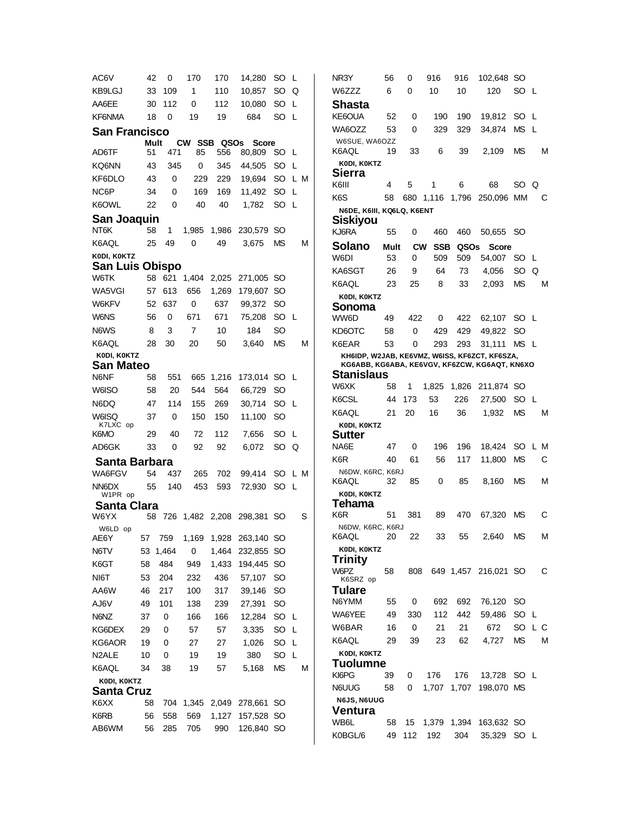AC6V 42 0 170 170 14,280 SO L KB9LGJ 33 109 1 110 10,857 SO Q AA6EE 30 112 0 112 10,080 SO L KF6NMA 18 0 19 19 684 SO L **San Francisco Mult CW SSB QSOs Score**<br>1 AD6TF 51 471 85 556 80.809 80,809 SO L KQ6NN 43 345 0 345 44,505 SO L KF6DLO 43 0 229 229 19,694 SO L M NC6P 34 0 169 169 11,492 SO L K6OWL 22 0 40 40 1,782 SO L **San Joaquin** NT6K 58 1 1,985 1,986 230,579 SO K6AQL 25 49 0 49 3,675 MS M **K0DI, K0KTZ San Luis Obispo** W6TK 58 621 1,404 2,025 271,005 SO WA5VGI 57 613 656 1,269 179,607 SO W6KFV 52 637 0 637 99,372 SO W6NS 56 0 671 671 75,208 SO L N6WS 8 3 7 10 184 SO K6AQL 28 30 20 50 3,640 MS M  **K0DI, K0KTZ San Mateo** N6NF 58 551 665 1,216 173,014 SO L W6ISO 58 20 544 564 66,729 SO N6DQ 47 114 155 269 30,714 SO L W6ISQ K7LXC op<br>K6MO 37 0 150 150 11,100 SO K6MO 29 40 72 112 7,656 SO L AD6GK 33 0 92 92 6,072 SO Q  **Santa Barbara** WA6FGV 54 437 265 702 99,414 SO L M NN6DX W<sub>1</sub>PR op 55 140 453 593 72,930 SO L  **Santa Clara** W6YX 58 726 1,482 2,208 298,381 SO S W6LD op AE6Y 57 759 1,169 1,928 263,140 SO N6TV 53 1,464 0 1,464 232,855 SO K6GT 58 484 949 1,433 194,445 SO NI6T 53 204 232 436 57,107 SO AA6W 46 217 100 317 39,146 SO AJ6V 49 101 138 239 27,391 SO N6NZ 37 0 166 166 12,284 SO L KG6DEX 29 0 57 57 3,335 SO L KG6AOR 19 0 27 27 1,026 SO L N2ALE 10 0 19 19 380 SO L K6AQL 34 38 19 57 5,168 MS M  **K0DI, K0KTZ Santa Cruz** K6XX 58 704 1,345 2,049 278,661 SO K6RB 56 558 569 1,127 157,528 SO AB6WM 56 285 705 990 126,840 SO

NR3Y 56 0 916 916 102,648 SO W6ZZZ 6 0 10 10 120 SO L **Shasta** KE6OUA 52 0 190 190 19,812 SO L WA6OZZ 53 0 329 329 34,874 MS L W6SUE, WA6OZZ K6AQL 19 33 6 39 2,109 MS M  **K0DI, K0KTZ Sierra** K6III 4 5 1 6 68 SO Q K6S 58 680 1,116 1,796 250,096 MM C  **N6DE, K6III, KQ6LQ, K6ENT Siskiyou** 55 0 460 460 50,655 SO **Solano Mult CW SSB QSOs Score** W6DI 53 0 509 509 54,007 SO L KA6SGT 26 9 64 73 4,056 SO Q K6AQL 23 25 8 33 2,093 MS M  **K0DI, K0KTZ Sonoma** 49 422 0 422 62,107 SO L KD6OTC 58 0 429 429 49,822 SO K6EAR 53 0 293 293 31,111 MS L  **KH6IDP, W2JAB, KE6VMZ, W6ISS, KF6ZCT, KF6SZA, KG6ABB, KG6ABA, KE6VGV, KF6ZCW, KG6AQT, KN6XO Stanislaus** W6XK 58 1 1,825 1,826 211,874 SO K6CSL 44 173 53 226 27,500 SO L K6AQL 21 20 16 36 1,932 MS M  **K0DI, K0KTZ Sutter** NA6E 47 0 196 196 18,424 SO L M K6R 40 61 56 117 11,800 MS C N6DW, K6RC, K6RJ K6AQL 32 85 0 85 8,160 MS M  **K0DI, K0KTZ Tehama** K6R 51 381 89 470 67,320 MS C N6DW, K6RC, K6RJ K6AQL 20 22 33 55 2,640 MS M  **K0DI, K0KTZ Trinity** W6PZ K6SRZ op 58 808 649 1,457 216,021 SO C **Tulare** N6YMM 55 0 692 692 76,120 SO WA6YEE 49 330 112 442 59,486 SO L W6BAR 16 0 21 21 672 SO L C K6AQL 29 39 23 62 4,727 MS M  **K0DI, K0KTZ Tuolumne** KI6PG 39 0 176 176 13,728 SO L N6UUG 58 0 1,707 1,707 198,070 MS **N6JS, N6UUG Ventura** WB6L 58 15 1,379 1,394 163,632 SO K0BGL/6 49 112 192 304 35,329 SO L